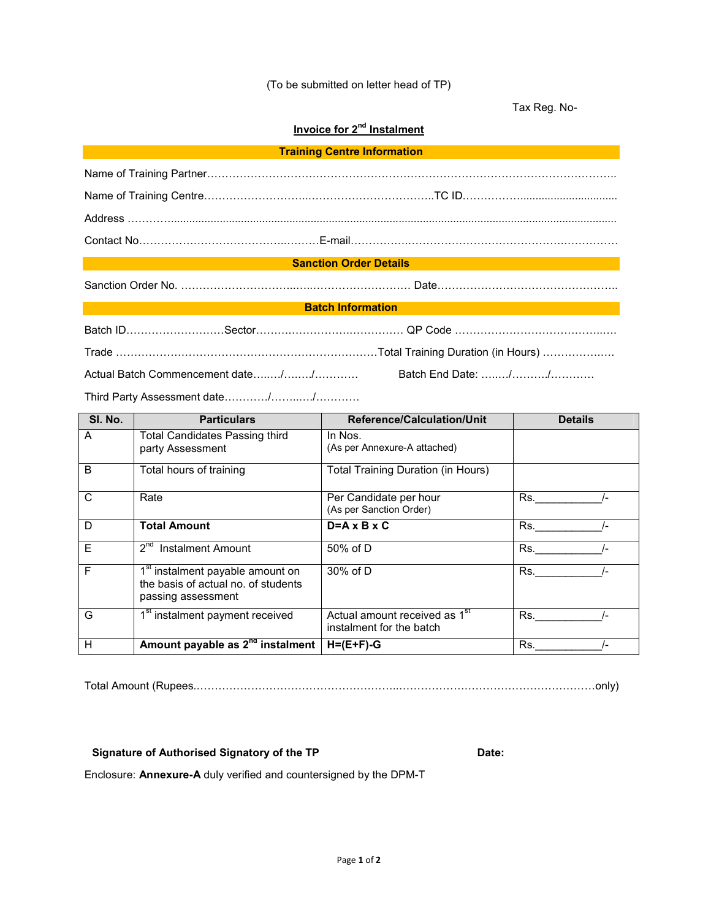## (To be submitted on letter head of TP)

Tax Reg. No-

## **Invoice for 2nd Instalment**

### **Sanction Order Details**

Sanction Order No. .... Date..

#### **Batch Information**

| SI. No. | <b>Particulars</b>                                                                                        | Reference/Calculation/Unit                                            | <b>Details</b> |
|---------|-----------------------------------------------------------------------------------------------------------|-----------------------------------------------------------------------|----------------|
| A       | <b>Total Candidates Passing third</b><br>party Assessment                                                 | In Nos.<br>(As per Annexure-A attached)                               |                |
| B       | Total hours of training                                                                                   | Total Training Duration (in Hours)                                    |                |
| C       | Rate                                                                                                      | Per Candidate per hour<br>(As per Sanction Order)                     | Rs.            |
| D       | <b>Total Amount</b>                                                                                       | $D = A \times B \times C$                                             | Rs.            |
| E       | $2^{na}$<br><b>Instalment Amount</b>                                                                      | 50% of D                                                              | Rs.            |
| F       | 1 <sup>st</sup> instalment payable amount on<br>the basis of actual no. of students<br>passing assessment | 30% of D                                                              | Rs.            |
| G       | 1 <sup>st</sup> instalment payment received                                                               | Actual amount received as 1 <sup>st</sup><br>instalment for the batch | Rs.            |
| H       | Amount payable as 2 <sup>nd</sup> instalment                                                              | $H=(E+F)-G$                                                           | Rs.            |

Total Amount (Rupees...only)

## Signature of Authorised Signatory of the TP **Date:** Date:

Enclosure: **Annexure-A** duly verified and countersigned by the DPM-T